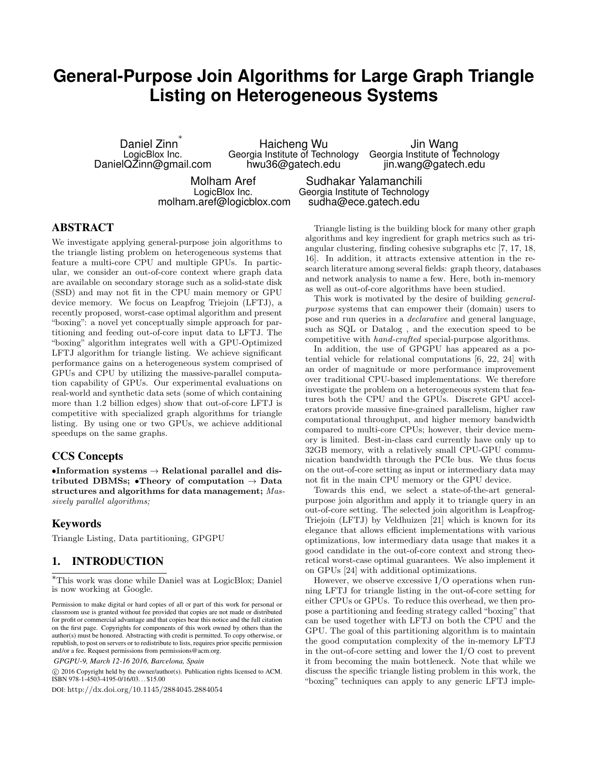# **General-Purpose Join Algorithms for Large Graph Triangle Listing on Heterogeneous Systems**

Daniel Zinn<sup>\*</sup> LogicBlox Inc. DanielQZinn@gmail.com

Haicheng Wu Georgia Institute of Technology hwu36@gatech.edu

Jin Wang Georgia Institute of Technology jin.wang@gatech.edu

Molham Aref LogicBlox Inc. molham.aref@logicblox.com

Sudhakar Yalamanchili Georgia Institute of Technology sudha@ece.gatech.edu

# ABSTRACT

We investigate applying general-purpose join algorithms to the triangle listing problem on heterogeneous systems that feature a multi-core CPU and multiple GPUs. In particular, we consider an out-of-core context where graph data are available on secondary storage such as a solid-state disk (SSD) and may not fit in the CPU main memory or GPU device memory. We focus on Leapfrog Triejoin (LFTJ), a recently proposed, worst-case optimal algorithm and present "boxing": a novel yet conceptually simple approach for partitioning and feeding out-of-core input data to LFTJ. The "boxing" algorithm integrates well with a GPU-Optimized LFTJ algorithm for triangle listing. We achieve significant performance gains on a heterogeneous system comprised of GPUs and CPU by utilizing the massive-parallel computation capability of GPUs. Our experimental evaluations on real-world and synthetic data sets (some of which containing more than 1.2 billion edges) show that out-of-core LFTJ is competitive with specialized graph algorithms for triangle listing. By using one or two GPUs, we achieve additional speedups on the same graphs.

# CCS Concepts

•Information systems  $\rightarrow$  Relational parallel and distributed DBMSs; •Theory of computation  $\rightarrow$  Data structures and algorithms for data management; Massively parallel algorithms;

## Keywords

Triangle Listing, Data partitioning, GPGPU

# 1. INTRODUCTION

*GPGPU-9, March 12-16 2016, Barcelona, Spain*

 c 2016 Copyright held by the owner/author(s). Publication rights licensed to ACM. ISBN 978-1-4503-4195-0/16/03. . . \$15.00

DOI: http://dx.doi.org/10.1145/2884045.2884054

Triangle listing is the building block for many other graph algorithms and key ingredient for graph metrics such as triangular clustering, finding cohesive subgraphs etc [7, 17, 18, 16]. In addition, it attracts extensive attention in the research literature among several fields: graph theory, databases and network analysis to name a few. Here, both in-memory as well as out-of-core algorithms have been studied.

This work is motivated by the desire of building generalpurpose systems that can empower their (domain) users to pose and run queries in a declarative and general language, such as SQL or Datalog , and the execution speed to be competitive with hand-crafted special-purpose algorithms.

In addition, the use of GPGPU has appeared as a potential vehicle for relational computations [6, 22, 24] with an order of magnitude or more performance improvement over traditional CPU-based implementations. We therefore investigate the problem on a heterogeneous system that features both the CPU and the GPUs. Discrete GPU accelerators provide massive fine-grained parallelism, higher raw computational throughput, and higher memory bandwidth compared to multi-core CPUs; however, their device memory is limited. Best-in-class card currently have only up to 32GB memory, with a relatively small CPU-GPU communication bandwidth through the PCIe bus. We thus focus on the out-of-core setting as input or intermediary data may not fit in the main CPU memory or the GPU device.

Towards this end, we select a state-of-the-art generalpurpose join algorithm and apply it to triangle query in an out-of-core setting. The selected join algorithm is Leapfrog-Triejoin (LFTJ) by Veldhuizen [21] which is known for its elegance that allows efficient implementations with various optimizations, low intermediary data usage that makes it a good candidate in the out-of-core context and strong theoretical worst-case optimal guarantees. We also implement it on GPUs [24] with additional optimizations.

However, we observe excessive I/O operations when running LFTJ for triangle listing in the out-of-core setting for either CPUs or GPUs. To reduce this overhead, we then propose a partitioning and feeding strategy called "boxing" that can be used together with LFTJ on both the CPU and the GPU. The goal of this partitioning algorithm is to maintain the good computation complexity of the in-memory LFTJ in the out-of-core setting and lower the I/O cost to prevent it from becoming the main bottleneck. Note that while we discuss the specific triangle listing problem in this work, the "boxing" techniques can apply to any generic LFTJ imple-

<sup>∗</sup>This work was done while Daniel was at LogicBlox; Daniel is now working at Google.

Permission to make digital or hard copies of all or part of this work for personal or classroom use is granted without fee provided that copies are not made or distributed for profit or commercial advantage and that copies bear this notice and the full citation on the first page. Copyrights for components of this work owned by others than the author(s) must be honored. Abstracting with credit is permitted. To copy otherwise, or republish, to post on servers or to redistribute to lists, requires prior specific permission and/or a fee. Request permissions from permissions@acm.org.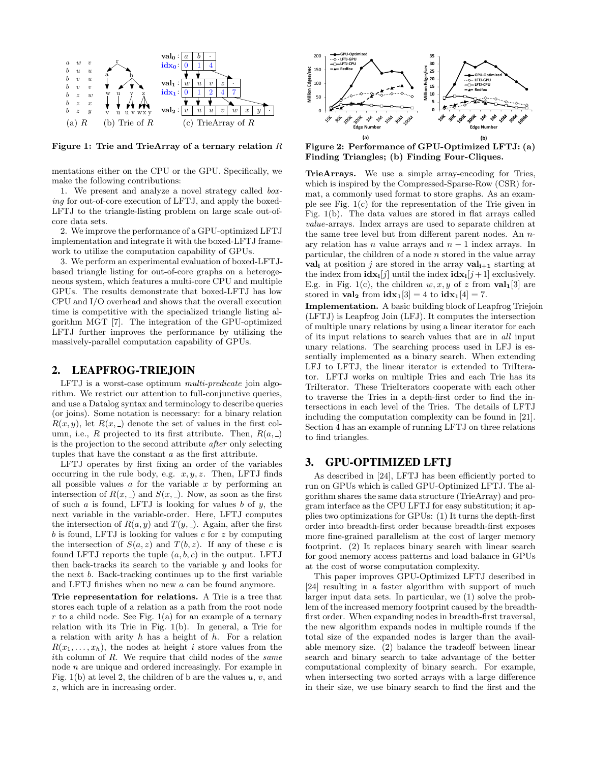

Figure 1: Trie and TrieArray of a ternary relation  $R$ 

mentations either on the CPU or the GPU. Specifically, we make the following contributions:

1. We present and analyze a novel strategy called boxing for out-of-core execution of LFTJ, and apply the boxed-LFTJ to the triangle-listing problem on large scale out-ofcore data sets.

2. We improve the performance of a GPU-optimized LFTJ implementation and integrate it with the boxed-LFTJ framework to utilize the computation capability of GPUs.

3. We perform an experimental evaluation of boxed-LFTJbased triangle listing for out-of-core graphs on a heterogeneous system, which features a multi-core CPU and multiple GPUs. The results demonstrate that boxed-LFTJ has low CPU and I/O overhead and shows that the overall execution time is competitive with the specialized triangle listing algorithm MGT [7]. The integration of the GPU-optimized LFTJ further improves the performance by utilizing the massively-parallel computation capability of GPUs.

#### 2. LEAPFROG-TRIEJOIN

LFTJ is a worst-case optimum multi-predicate join algorithm. We restrict our attention to full-conjunctive queries, and use a Datalog syntax and terminology to describe queries (or joins). Some notation is necessary: for a binary relation  $R(x, y)$ , let  $R(x, z)$  denote the set of values in the first column, i.e., R projected to its first attribute. Then,  $R(a, )$ is the projection to the second attribute after only selecting tuples that have the constant a as the first attribute.

LFTJ operates by first fixing an order of the variables occurring in the rule body, e.g.  $x, y, z$ . Then, LFTJ finds all possible values  $\alpha$  for the variable  $x$  by performing an intersection of  $R(x, z)$  and  $S(x, z)$ . Now, as soon as the first of such  $a$  is found, LFTJ is looking for values  $b$  of  $y$ , the next variable in the variable-order. Here, LFTJ computes the intersection of  $R(a, y)$  and  $T(y, z)$ . Again, after the first  $b$  is found, LFTJ is looking for values  $c$  for  $z$  by computing the intersection of  $S(a, z)$  and  $T(b, z)$ . If any of these c is found LFTJ reports the tuple  $(a, b, c)$  in the output. LFTJ then back-tracks its search to the variable  $y$  and looks for the next b. Back-tracking continues up to the first variable and LFTJ finishes when no new a can be found anymore.

Trie representation for relations. A Trie is a tree that stores each tuple of a relation as a path from the root node r to a child node. See Fig.  $1(a)$  for an example of a ternary relation with its Trie in Fig. 1(b). In general, a Trie for a relation with arity  $h$  has a height of  $h$ . For a relation  $R(x_1, \ldots, x_h)$ , the nodes at height *i* store values from the ith column of R. We require that child nodes of the same node  $n$  are unique and ordered increasingly. For example in Fig. 1(b) at level 2, the children of b are the values  $u, v$ , and z, which are in increasing order.



Figure 2: Performance of GPU-Optimized LFTJ: (a) Finding Triangles; (b) Finding Four-Cliques.

TrieArrays. We use a simple array-encoding for Tries, which is inspired by the Compressed-Sparse-Row (CSR) format, a commonly used format to store graphs. As an example see Fig. 1(c) for the representation of the Trie given in Fig. 1(b). The data values are stored in flat arrays called value-arrays. Index arrays are used to separate children at the same tree level but from different parent nodes. An nary relation has *n* value arrays and  $n - 1$  index arrays. In particular, the children of a node  $n$  stored in the value array val<sub>i</sub> at position j are stored in the array val<sub>i+1</sub> starting at the index from  $\mathbf{idx}_i[j]$  until the index  $\mathbf{idx}_i[j+1]$  exclusively. E.g. in Fig. 1(c), the children  $w, x, y$  of z from  $val_1[3]$  are stored in val<sub>2</sub> from  $\mathbf{idx}_1[3] = 4$  to  $\mathbf{idx}_1[4] = 7$ .

Implementation. A basic building block of Leapfrog Triejoin (LFTJ) is Leapfrog Join (LFJ). It computes the intersection of multiple unary relations by using a linear iterator for each of its input relations to search values that are in all input unary relations. The searching process used in LFJ is essentially implemented as a binary search. When extending LFJ to LFTJ, the linear iterator is extended to TriIterator. LFTJ works on multiple Tries and each Trie has its TriIterator. These TrieIterators cooperate with each other to traverse the Tries in a depth-first order to find the intersections in each level of the Tries. The details of LFTJ including the computation complexity can be found in [21]. Section 4 has an example of running LFTJ on three relations to find triangles.

#### 3. GPU-OPTIMIZED LFTJ

As described in [24], LFTJ has been efficiently ported to run on GPUs which is called GPU-Optimized LFTJ. The algorithm shares the same data structure (TrieArray) and program interface as the CPU LFTJ for easy substitution; it applies two optimizations for GPUs: (1) It turns the depth-first order into breadth-first order because breadth-first exposes more fine-grained parallelism at the cost of larger memory footprint. (2) It replaces binary search with linear search for good memory access patterns and load balance in GPUs at the cost of worse computation complexity.

This paper improves GPU-Optimized LFTJ described in [24] resulting in a faster algorithm with support of much larger input data sets. In particular, we (1) solve the problem of the increased memory footprint caused by the breadthfirst order. When expanding nodes in breadth-first traversal, the new algorithm expands nodes in multiple rounds if the total size of the expanded nodes is larger than the available memory size. (2) balance the tradeoff between linear search and binary search to take advantage of the better computational complexity of binary search. For example, when intersecting two sorted arrays with a large difference in their size, we use binary search to find the first and the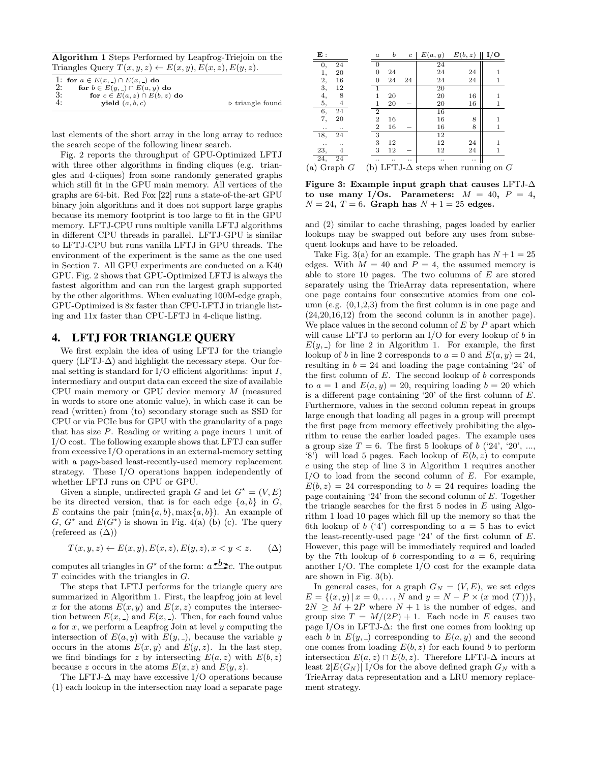Algorithm 1 Steps Performed by Leapfrog-Triejoin on the Triangles Query  $T(x, y, z) \leftarrow E(x, y), E(x, z), E(y, z)$ .

|     | 1: for $a \in E(x, \_) \cap E(x, \_)$ do |  |                                 |
|-----|------------------------------------------|--|---------------------------------|
| 2:  | for $b \in E(y, \_) \cap E(a, y)$ do     |  |                                 |
| -3: | for $c \in E(a, z) \cap E(b, z)$ do      |  |                                 |
| 4:  | yield $(a, b, c)$                        |  | $\triangleright$ triangle found |
|     |                                          |  |                                 |

last elements of the short array in the long array to reduce the search scope of the following linear search.

Fig. 2 reports the throughput of GPU-Optimized LFTJ with three other algorithms in finding cliques (e.g. triangles and 4-cliques) from some randomly generated graphs which still fit in the GPU main memory. All vertices of the graphs are 64-bit. Red Fox [22] runs a state-of-the-art GPU binary join algorithms and it does not support large graphs because its memory footprint is too large to fit in the GPU memory. LFTJ-CPU runs multiple vanilla LFTJ algorithms in different CPU threads in parallel. LFTJ-GPU is similar to LFTJ-CPU but runs vanilla LFTJ in GPU threads. The environment of the experiment is the same as the one used in Section 7. All GPU experiments are conducted on a K40 GPU. Fig. 2 shows that GPU-Optimized LFTJ is always the fastest algorithm and can run the largest graph supported by the other algorithms. When evaluating 100M-edge graph, GPU-Optimized is 8x faster than CPU-LFTJ in triangle listing and 11x faster than CPU-LFTJ in 4-clique listing.

#### 4. LFTJ FOR TRIANGLE QUERY

We first explain the idea of using LFTJ for the triangle query (LFTJ- $\Delta$ ) and highlight the necessary steps. Our formal setting is standard for  $I/O$  efficient algorithms: input  $I$ , intermediary and output data can exceed the size of available CPU main memory or GPU device memory M (measured in words to store one atomic value), in which case it can be read (written) from (to) secondary storage such as SSD for CPU or via PCIe bus for GPU with the granularity of a page that has size  $P$ . Reading or writing a page incurs 1 unit of I/O cost. The following example shows that LFTJ can suffer from excessive I/O operations in an external-memory setting with a page-based least-recently-used memory replacement strategy. These I/O operations happen independently of whether LFTJ runs on CPU or GPU.

Given a simple, undirected graph G and let  $G^* = (V, E)$ be its directed version, that is for each edge  $\{a, b\}$  in G, E contains the pair  $(\min\{a, b\}, \max\{a, b\})$ . An example of  $G, G^*$  and  $E(G^*)$  is shown in Fig. 4(a) (b) (c). The query (refereed as  $(\Delta)$ )

$$
T(x, y, z) \leftarrow E(x, y), E(x, z), E(y, z), x < y < z.
$$
 (Δ)

computes all triangles in  $G^*$  of the form:  $a \stackrel{\star b}{\rightarrow} c$ . The output T coincides with the triangles in G.

The steps that LFTJ performs for the triangle query are summarized in Algorithm 1. First, the leapfrog join at level x for the atoms  $E(x, y)$  and  $E(x, z)$  computes the intersection between  $E(x, z)$  and  $E(x, z)$ . Then, for each found value a for x, we perform a Leapfrog Join at level  $y$  computing the intersection of  $E(a, y)$  with  $E(y, z)$ , because the variable y occurs in the atoms  $E(x, y)$  and  $E(y, z)$ . In the last step, we find bindings for z by intersecting  $E(a, z)$  with  $E(b, z)$ because z occurs in the atoms  $E(x, z)$  and  $E(y, z)$ .

The LFTJ- $\Delta$  may have excessive I/O operations because (1) each lookup in the intersection may load a separate page

| $\mathbf{E}:$ |    | $\boldsymbol{a}$ | b  | $\boldsymbol{c}$ | E(a, y)                                | E(b, z) | I/O |
|---------------|----|------------------|----|------------------|----------------------------------------|---------|-----|
| 0,            | 24 |                  |    |                  | 24                                     |         |     |
| 1,            | 20 | 0                | 24 |                  | 24                                     | 24      |     |
| 2,            | 16 | 0                | 24 | 24               | 24                                     | 24      |     |
| 3,            | 12 |                  |    |                  | 20                                     |         |     |
| 4,            | 8  |                  | 20 |                  | 20                                     | 16      |     |
| 5,            | 4  | 1                | 20 |                  | 20                                     | 16      |     |
| 6,            | 24 | $\overline{2}$   |    |                  | 16                                     |         |     |
| 7,            | 20 | $\overline{2}$   | 16 |                  | 16                                     | 8       |     |
|               |    | $\overline{2}$   | 16 |                  | 16                                     | 8       |     |
| 18,           | 24 | 3                |    |                  | 12                                     |         |     |
|               |    | 3                | 12 |                  | 12                                     | 24      |     |
| 23,           | 4  | 3                | 12 |                  | 12                                     | 24      |     |
| 24,           | 24 |                  |    | . .              | . .                                    |         |     |
| (a) Graph $G$ |    | b)               |    |                  | LFTJ- $\Delta$ steps when running on G |         |     |

Figure 3: Example input graph that causes LFTJ- $\Delta$ to use many I/Os. Parameters:  $M = 40$ ,  $P = 4$ ,  $N = 24, T = 6$ . Graph has  $N + 1 = 25$  edges.

and (2) similar to cache thrashing, pages loaded by earlier lookups may be swapped out before any uses from subsequent lookups and have to be reloaded.

Take Fig. 3(a) for an example. The graph has  $N + 1 = 25$ edges. With  $M = 40$  and  $P = 4$ , the assumed memory is able to store 10 pages. The two columns of  $E$  are stored separately using the TrieArray data representation, where one page contains four consecutive atomics from one column (e.g. (0,1,2,3) from the first column is in one page and (24,20,16,12) from the second column is in another page). We place values in the second column of  $E$  by  $P$  apart which will cause LFTJ to perform an I/O for every lookup of b in  $E(y, z)$  for line 2 in Algorithm 1. For example, the first lookup of b in line 2 corresponds to  $a = 0$  and  $E(a, y) = 24$ , resulting in  $b = 24$  and loading the page containing '24' of the first column of  $E$ . The second lookup of  $b$  corresponds to  $a = 1$  and  $E(a, y) = 20$ , requiring loading  $b = 20$  which is a different page containing '20' of the first column of  $E$ . Furthermore, values in the second column repeat in groups large enough that loading all pages in a group will preempt the first page from memory effectively prohibiting the algorithm to reuse the earlier loaded pages. The example uses a group size  $T = 6$ . The first 5 lookups of b  $(24, 20, \ldots,$ '8') will load 5 pages. Each lookup of  $E(b, z)$  to compute c using the step of line 3 in Algorithm 1 requires another  $I/O$  to load from the second column of  $E$ . For example,  $E(b, z) = 24$  corresponding to  $b = 24$  requires loading the page containing '24' from the second column of E. Together the triangle searches for the first  $5$  nodes in  $E$  using Algorithm 1 load 10 pages which fill up the memory so that the 6th lookup of b  $(4')$  corresponding to  $a = 5$  has to evict the least-recently-used page '24' of the first column of E. However, this page will be immediately required and loaded by the 7th lookup of b corresponding to  $a = 6$ , requiring another I/O. The complete I/O cost for the example data are shown in Fig. 3(b).

In general cases, for a graph  $G_N = (V, E)$ , we set edges  $E = \{(x, y) | x = 0, \ldots, N \text{ and } y = N - P \times (x \mod (T))\},\$  $2N > M + 2P$  where  $N + 1$  is the number of edges, and group size  $T = M/(2P) + 1$ . Each node in E causes two page I/Os in LFTJ- $\Delta$ : the first one comes from looking up each b in  $E(y, z)$  corresponding to  $E(a, y)$  and the second one comes from loading  $E(b, z)$  for each found b to perform intersection  $E(a, z) \cap E(b, z)$ . Therefore LFTJ- $\Delta$  incurs at least  $2|E(G_N)|$  I/Os for the above defined graph  $G_N$  with a TrieArray data representation and a LRU memory replacement strategy.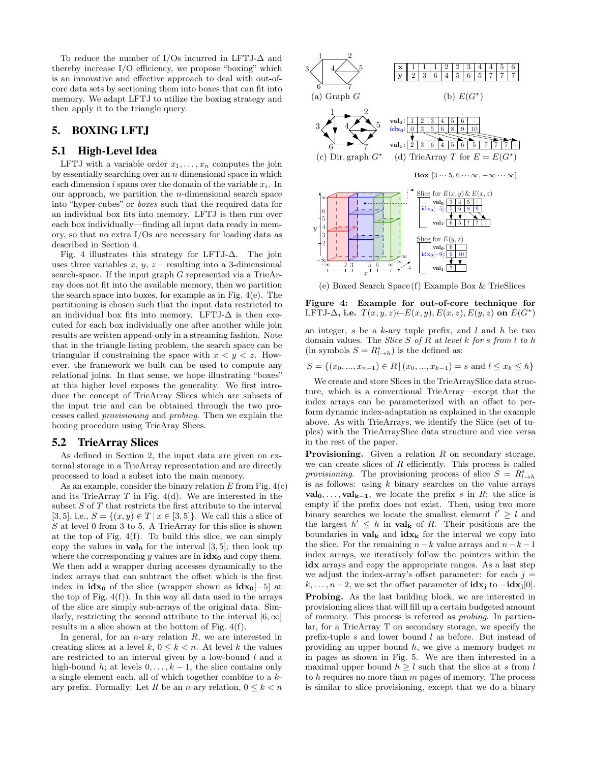To reduce the number of I/Os incurred in LFTJ-∆ and thereby increase I/O efficiency, we propose "boxing" which is an innovative and effective approach to deal with out-ofcore data sets by sectioning them into boxes that can fit into memory. We adapt LFTJ to utilize the boxing strategy and then apply it to the triangle query.

## 5. BOXING LFTJ

## 5.1 High-Level Idea

LFTJ with a variable order  $x_1, \ldots, x_n$  computes the join by essentially searching over an  $n$  dimensional space in which each dimension i spans over the domain of the variable  $x_i$ . In our approach, we partition the  $n$ -dimensional search space into "hyper-cubes" or boxes such that the required data for an individual box fits into memory. LFTJ is then run over each box individually—finding all input data ready in memory, so that no extra I/Os are necessary for loading data as described in Section 4.

Fig. 4 illustrates this strategy for LFTJ-∆. The join uses three variables  $x, y, z$  – resulting into a 3-dimensional search-space. If the input graph G represented via a TrieArray does not fit into the available memory, then we partition the search space into boxes, for example as in Fig. 4(e). The partitioning is chosen such that the input data restricted to an individual box fits into memory. LFTJ- $\Delta$  is then executed for each box individually one after another while join results are written append-only in a streaming fashion. Note that in the triangle listing problem, the search space can be triangular if constraining the space with  $x < y < z$ . However, the framework we built can be used to compute any relational joins. In that sense, we hope illustrating "boxes" at this higher level exposes the generality. We first introduce the concept of TrieArray Slices which are subsets of the input trie and can be obtained through the two processes called provisioning and probing. Then we explain the boxing procedure using TrieAray Slices.

#### 5.2 TrieArray Slices

As defined in Section 2, the input data are given on external storage in a TrieArray representation and are directly processed to load a subset into the main memory.

As an example, consider the binary relation  $E$  from Fig.  $4(c)$ and its TrieArray  $T$  in Fig. 4(d). We are interested in the subset  $S$  of  $T$  that restricts the first attribute to the interval [3, 5], i.e.,  $S = \{(x, y) \in T | x \in [3, 5]\}.$  We call this a slice of S at level 0 from 3 to 5. A TrieArray for this slice is shown at the top of Fig. 4(f). To build this slice, we can simply copy the values in  $\mathbf{val}_0$  for the interval [3, 5]; then look up where the corresponding y values are in  $idx_0$  and copy them. We then add a wrapper during accesses dynamically to the index arrays that can subtract the offset which is the first index in  $idx_0$  of the slice (wrapper shown as  $idx_0[-5]$  at the top of Fig.  $4(f)$ ). In this way all data used in the arrays of the slice are simply sub-arrays of the original data. Similarly, restricting the second attribute to the interval  $[6, \infty]$ results in a slice shown at the bottom of Fig. 4(f).

In general, for an *n*-ary relation  $R$ , we are interested in creating slices at a level k,  $0 \leq k \leq n$ . At level k the values are restricted to an interval given by a low-bound  $l$  and a high-bound h; at levels  $0, \ldots, k-1$ , the slice contains only a single element each, all of which together combine to a kary prefix. Formally: Let R be an n-ary relation,  $0 \leq k < n$ 



(e) Boxed Search Space (f) Example Box & TrieSlices

Figure 4: Example for out-of-core technique for LFTJ- $\Delta$ , i.e.  $T(x, y, z) \leftarrow E(x, y), E(x, z), E(y, z)$  on  $E(G^*)$ 

an integer, s be a k-ary tuple prefix, and  $l$  and  $h$  be two domain values. The Slice  $S$  of  $R$  at level  $k$  for  $s$  from  $l$  to  $h$ (in symbols  $S = R_{l \to h}^s$ ) is the defined as:

$$
S = \{(x_0, ..., x_{n-1}) \in R \mid (x_0, ..., x_{k-1}) = s \text{ and } l \leq x_k \leq h\}
$$

We create and store Slices in the TrieArraySlice data structure, which is a conventional TrieArray—except that the index arrays can be parameterized with an offset to perform dynamic index-adaptation as explained in the example above. As with TrieArrays, we identify the Slice (set of tuples) with the TrieArraySlice data structure and vice versa in the rest of the paper.

**Provisioning.** Given a relation  $R$  on secondary storage, we can create slices of  $R$  efficiently. This process is called provisioning. The provisioning process of slice  $S = R_{l \to h}^s$ is as follows: using  $k$  binary searches on the value arrays  $val_0, \ldots, val_{k-1}$ , we locate the prefix s in R; the slice is empty if the prefix does not exist. Then, using two more binary searches we locate the smallest element  $l' \geq l$  and the largest  $h' \leq h$  in **val**<sub>k</sub> of R. Their positions are the boundaries in  $\mathbf{val}_{k}$  and  $\mathbf{idx}_{k}$  for the interval we copy into the slice. For the remaining  $n-k$  value arrays and  $n-k-1$ index arrays, we iteratively follow the pointers within the idx arrays and copy the appropriate ranges. As a last step we adjust the index-array's offset parameter: for each  $j =$  $k, \ldots, n-2$ , we set the offset parameter of  $idx_i$  to  $-idx_i[0]$ . Probing. As the last building block, we are interested in provisioning slices that will fill up a certain budgeted amount of memory. This process is referred as probing. In particular, for a TrieArray T on secondary storage, we specify the prefix-tuple s and lower bound l as before. But instead of providing an upper bound  $h$ , we give a memory budget  $m$ in pages as shown in Fig. 5. We are then interested in a maximal upper bound  $h \geq l$  such that the slice at s from l to  $h$  requires no more than  $m$  pages of memory. The process is similar to slice provisioning, except that we do a binary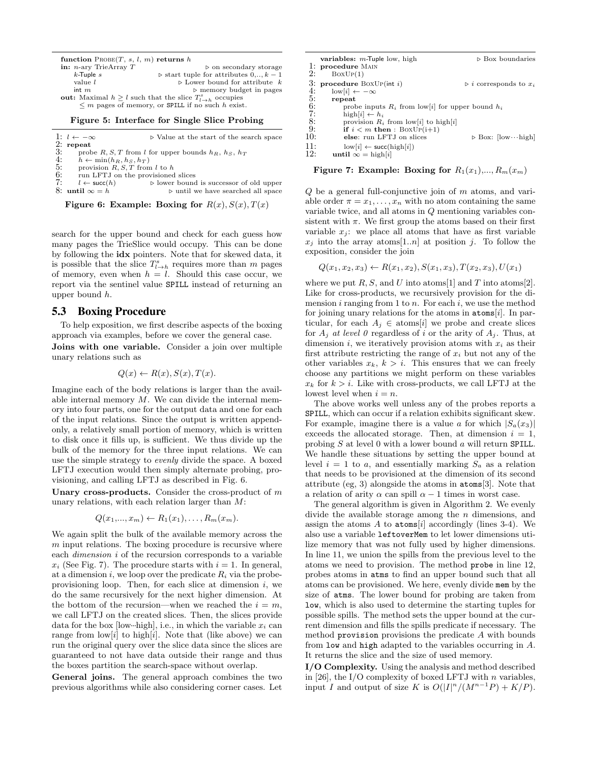| function $\text{PROBE}(T, s, l, m)$ returns h                                  |                                                              |  |  |  |  |  |  |
|--------------------------------------------------------------------------------|--------------------------------------------------------------|--|--|--|--|--|--|
| in: $n$ -ary TrieArray $T$                                                     | $\triangleright$ on secondary storage                        |  |  |  |  |  |  |
| $k$ -Tuple $s$                                                                 | $\triangleright$ start tuple for attributes $0, \ldots, k-1$ |  |  |  |  |  |  |
| value $l$                                                                      | $\triangleright$ Lower bound for attribute k                 |  |  |  |  |  |  |
| int $m$                                                                        | $\triangleright$ memory budget in pages                      |  |  |  |  |  |  |
| out: Maximal $h \geq l$ such that the slice $T_{l \rightarrow h}^{s}$ occupies |                                                              |  |  |  |  |  |  |
| $\leq m$ pages of memory, or SPILL if no such h exist.                         |                                                              |  |  |  |  |  |  |
|                                                                                |                                                              |  |  |  |  |  |  |
| Figure 5: Interface for Single Slice Probing                                   |                                                              |  |  |  |  |  |  |

|    | 1: $l \leftarrow -\infty$<br>$2:$ repeat | $\triangleright$ Value at the start of the search space     |
|----|------------------------------------------|-------------------------------------------------------------|
|    |                                          |                                                             |
| 3: |                                          | probe R, S, T from l for upper bounds $h_R$ , $h_S$ , $h_T$ |
| 4: | $h \leftarrow \min(h_R, h_S, h_T)$       |                                                             |
| 5: | provision $R, S, T$ from l to h          |                                                             |
| 6: | run LFTJ on the provisioned slices       |                                                             |
| 7: | $l \leftarrow \text{succ}(h)$            | $\triangleright$ lower bound is successor of old upper      |
|    | 8: until $\infty = h$                    | $\triangleright$ until we have searched all space           |
|    |                                          |                                                             |

Figure 6: Example: Boxing for  $R(x)$ ,  $S(x)$ ,  $T(x)$ 

search for the upper bound and check for each guess how many pages the TrieSlice would occupy. This can be done by following the idx pointers. Note that for skewed data, it is possible that the slice  $T_{l \to h}^s$  requires more than m pages of memory, even when  $h = l$ . Should this case occur, we report via the sentinel value SPILL instead of returning an upper bound h.

### 5.3 Boxing Procedure

To help exposition, we first describe aspects of the boxing approach via examples, before we cover the general case.

Joins with one variable. Consider a join over multiple unary relations such as

$$
Q(x) \leftarrow R(x), S(x), T(x).
$$

Imagine each of the body relations is larger than the available internal memory  $M$ . We can divide the internal memory into four parts, one for the output data and one for each of the input relations. Since the output is written appendonly, a relatively small portion of memory, which is written to disk once it fills up, is sufficient. We thus divide up the bulk of the memory for the three input relations. We can use the simple strategy to evenly divide the space. A boxed LFTJ execution would then simply alternate probing, provisioning, and calling LFTJ as described in Fig. 6.

Unary cross-products. Consider the cross-product of  $m$ unary relations, with each relation larger than  $M$ :

$$
Q(x_1,\ldots,x_m) \leftarrow R_1(x_1),\ldots,R_m(x_m).
$$

We again split the bulk of the available memory across the  $m$  input relations. The boxing procedure is recursive where each dimension i of the recursion corresponds to a variable  $x_i$  (See Fig. 7). The procedure starts with  $i = 1$ . In general, at a dimension i, we loop over the predicate  $R_i$  via the probeprovisioning loop. Then, for each slice at dimension  $i$ , we do the same recursively for the next higher dimension. At the bottom of the recursion—when we reached the  $i = m$ , we call LFTJ on the created slices. Then, the slices provide data for the box [low-high], i.e., in which the variable  $x_i$  can range from  $\text{low}[i]$  to high[i]. Note that (like above) we can run the original query over the slice data since the slices are guaranteed to not have data outside their range and thus the boxes partition the search-space without overlap.

General joins. The general approach combines the two previous algorithms while also considering corner cases. Let

| 2:  | <b>variables:</b> $m$ -Tuple low, high<br>1: procedure MAIN<br>BoxUp(1) | $\triangleright$ Box boundaries                |
|-----|-------------------------------------------------------------------------|------------------------------------------------|
| 4:  | 3: procedure $BoxUp(int i)$<br>$\text{low}[i] \leftarrow -\infty$       | $\triangleright$ <i>i</i> corresponds to $x_i$ |
| 5:  | repeat                                                                  |                                                |
| 6:  | probe inputs $R_i$ from low[i] for upper bound $h_i$                    |                                                |
| 7:  | high[i] $\leftarrow h_i$                                                |                                                |
| 8:  | provision $R_i$ from low[i] to high[i]                                  |                                                |
| 9:  | if $i < m$ then : BOXUP(i+1)                                            |                                                |
| 10: | else: run LFTJ on slices                                                | $\triangleright$ Box: [low · · · high]         |
| 11: | $\text{low}[i] \leftarrow \text{succ}(\text{high}[i])$                  |                                                |
| 12: | until $\infty =$ high[i]                                                |                                                |

Figure 7: Example: Boxing for  $R_1(x_1),..., R_m(x_m)$ 

 $Q$  be a general full-conjunctive join of  $m$  atoms, and variable order  $\pi = x_1, \ldots, x_n$  with no atom containing the same variable twice, and all atoms in Q mentioning variables consistent with  $\pi$ . We first group the atoms based on their first variable  $x_j$ : we place all atoms that have as first variable  $x_i$  into the array atoms [1..*n*] at position j. To follow the exposition, consider the join

$$
Q(x_1,x_2,x_3) \leftarrow R(x_1,x_2), S(x_1,x_3), T(x_2,x_3), U(x_1)
$$

where we put  $R, S$ , and U into atoms[1] and T into atoms[2]. Like for cross-products, we recursively provision for the dimension i ranging from 1 to n. For each i, we use the method for joining unary relations for the atoms in  $\texttt{atoms}[i]$ . In particular, for each  $A_j \in \text{atoms}[i]$  we probe and create slices for  $A_j$  at level 0 regardless of i or the arity of  $A_j$ . Thus, at dimension i, we iteratively provision atoms with  $x_i$  as their first attribute restricting the range of  $x_i$  but not any of the other variables  $x_k$ ,  $k > i$ . This ensures that we can freely choose any partitions we might perform on these variables  $x_k$  for  $k > i$ . Like with cross-products, we call LFTJ at the lowest level when  $i = n$ .

The above works well unless any of the probes reports a SPILL, which can occur if a relation exhibits significant skew. For example, imagine there is a value a for which  $|S_a(x_3)|$ exceeds the allocated storage. Then, at dimension  $i = 1$ , probing S at level 0 with a lower bound a will return SPILL. We handle these situations by setting the upper bound at level  $i = 1$  to a, and essentially marking  $S_a$  as a relation that needs to be provisioned at the dimension of its second attribute (eg, 3) alongside the atoms in atoms[3]. Note that a relation of arity  $\alpha$  can spill  $\alpha - 1$  times in worst case.

The general algorithm is given in Algorithm 2. We evenly divide the available storage among the n dimensions, and assign the atoms  $A$  to atoms  $[i]$  accordingly (lines 3-4). We also use a variable leftoverMem to let lower dimensions utilize memory that was not fully used by higher dimensions. In line 11, we union the spills from the previous level to the atoms we need to provision. The method probe in line 12, probes atoms in atms to find an upper bound such that all atoms can be provisioned. We here, evenly divide mem by the size of atms. The lower bound for probing are taken from low, which is also used to determine the starting tuples for possible spills. The method sets the upper bound at the current dimension and fills the spills predicate if necessary. The method provision provisions the predicate  $A$  with bounds from low and high adapted to the variables occurring in A. It returns the slice and the size of used memory.

I/O Complexity. Using the analysis and method described in [26], the I/O complexity of boxed LFTJ with  $n$  variables, input *I* and output of size K is  $O(|I|^n/(M^{n-1}P) + K/P)$ .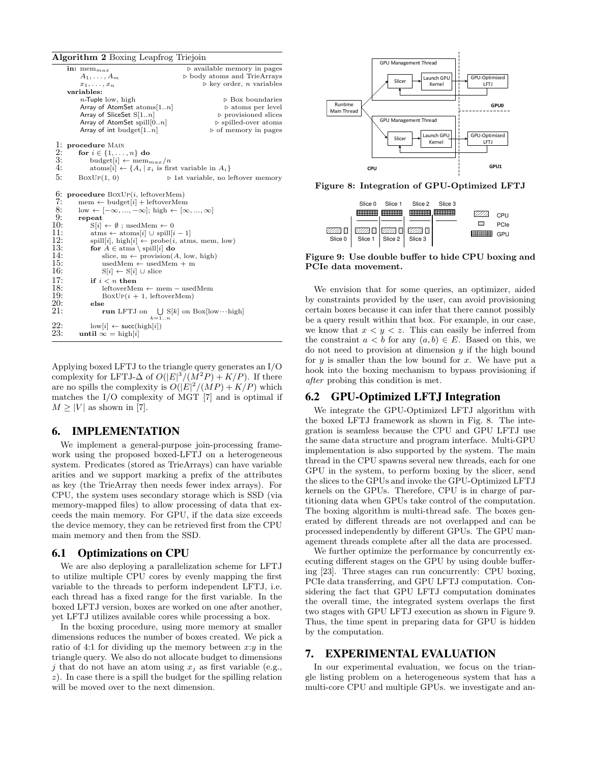#### Algorithm 2 Boxing Leapfrog Triejoin

|                  | in: $\text{mem}_{max}$                                                              | $\triangleright$ available memory in pages        |
|------------------|-------------------------------------------------------------------------------------|---------------------------------------------------|
|                  | $A_1,\ldots,A_m$                                                                    | $\triangleright$ body atoms and TrieArrays        |
|                  | $x_1, \ldots, x_n$                                                                  | $\triangleright$ key order, <i>n</i> variables    |
|                  | variables:                                                                          |                                                   |
|                  | $n$ -Tuple low, high                                                                | $\triangleright$ Box boundaries                   |
|                  | Array of AtomSet atoms[1 $n$ ]                                                      | $\triangleright$ atoms per level                  |
|                  | Array of SliceSet $S[1n]$                                                           | $\triangleright$ provisioned slices               |
|                  | Array of AtomSet spill $[0n]$                                                       | $\triangleright$ spilled-over atoms               |
|                  | Array of int budget $ 1n $                                                          | $\triangleright$ of memory in pages               |
| 1:               | procedure MAIN                                                                      |                                                   |
| 2:               | for $i \in \{1, \ldots, n\}$ do                                                     |                                                   |
| $\overline{3}$ : | budget $[i] \leftarrow \text{mem}_{max}/n$                                          |                                                   |
| 4:               | atoms $[i] \leftarrow \{A_i \mid x_i \text{ is first variable in } A_i\}$           |                                                   |
| 5:               | BoxUp(1, 0)                                                                         | $\triangleright$ 1st variable, no leftover memory |
| 6:               | <b>procedure</b> $BoxUp(i, leftoverMem)$                                            |                                                   |
| 7:               | mem $\leftarrow$ budget[i] + leftoverMem                                            |                                                   |
| 8:               | $\text{low} \leftarrow [-\infty, , -\infty]$ ; high $\leftarrow [\infty, , \infty]$ |                                                   |
| 9:               | repeat                                                                              |                                                   |
| 10:              | $S[i] \leftarrow \emptyset$ ; usedMem $\leftarrow 0$                                |                                                   |
| 11:              | atms $\leftarrow$ atoms $[i] \cup$ spill $[i-1]$                                    |                                                   |
| 12:              | $spill[i], high[i] \leftarrow probe(i, atms, mem, low)$                             |                                                   |
| 13:              | for $A \in \text{atms} \setminus \text{spill}[i]$ do                                |                                                   |
| 14:              | slice, $m \leftarrow$ provision(A, low, high)                                       |                                                   |
| 15:              | usedMem $\leftarrow$ usedMem $+$ m                                                  |                                                   |
| 16:              | $S[i] \leftarrow S[i] \cup$ slice                                                   |                                                   |
| 17:              | if $i < n$ then                                                                     |                                                   |
| 18:              | $leftoverMem \leftarrow mem - usedMem$                                              |                                                   |
| 19:              | $BoxUp(i + 1, left overMem)$                                                        |                                                   |
| 20:              | else                                                                                |                                                   |
| 21:              | <b>run</b> LFTJ on $\bigcup S[k]$ on Box[low···high]<br>$k=1n$                      |                                                   |
| 22:              | $\text{low}[i] \leftarrow \text{succ}(\text{high}[i])$                              |                                                   |
| 23:              | until $\infty = \text{high}[i]$                                                     |                                                   |
|                  |                                                                                     |                                                   |

Applying boxed LFTJ to the triangle query generates an I/O complexity for LFTJ- $\Delta$  of  $O(|E|^3/(M^2P) + K/P)$ . If there are no spills the complexity is  $O(|E|^2/(MP) + K/P)$  which matches the I/O complexity of MGT [7] and is optimal if  $M \geq |V|$  as shown in [7].

#### 6. IMPLEMENTATION

We implement a general-purpose join-processing framework using the proposed boxed-LFTJ on a heterogeneous system. Predicates (stored as TrieArrays) can have variable arities and we support marking a prefix of the attributes as key (the TrieArray then needs fewer index arrays). For CPU, the system uses secondary storage which is SSD (via memory-mapped files) to allow processing of data that exceeds the main memory. For GPU, if the data size exceeds the device memory, they can be retrieved first from the CPU main memory and then from the SSD.

#### 6.1 Optimizations on CPU

We are also deploying a parallelization scheme for LFTJ to utilize multiple CPU cores by evenly mapping the first variable to the threads to perform independent LFTJ, i.e. each thread has a fixed range for the first variable. In the boxed LFTJ version, boxes are worked on one after another, yet LFTJ utilizes available cores while processing a box.

In the boxing procedure, using more memory at smaller dimensions reduces the number of boxes created. We pick a ratio of 4:1 for dividing up the memory between  $x:y$  in the triangle query. We also do not allocate budget to dimensions j that do not have an atom using  $x_j$  as first variable (e.g.,  $z$ ). In case there is a spill the budget for the spilling relation will be moved over to the next dimension.



Figure 8: Integration of GPU-Optimized LFTJ



Figure 9: Use double buffer to hide CPU boxing and PCIe data movement.

We envision that for some queries, an optimizer, aided by constraints provided by the user, can avoid provisioning certain boxes because it can infer that there cannot possibly be a query result within that box. For example, in our case, we know that  $x < y < z$ . This can easily be inferred from the constraint  $a < b$  for any  $(a, b) \in E$ . Based on this, we do not need to provision at dimension  $y$  if the high bound for  $y$  is smaller than the low bound for  $x$ . We have put a hook into the boxing mechanism to bypass provisioning if after probing this condition is met.

#### 6.2 GPU-Optimized LFTJ Integration

We integrate the GPU-Optimized LFTJ algorithm with the boxed LFTJ framework as shown in Fig. 8. The integration is seamless because the CPU and GPU LFTJ use the same data structure and program interface. Multi-GPU implementation is also supported by the system. The main thread in the CPU spawns several new threads, each for one GPU in the system, to perform boxing by the slicer, send the slices to the GPUs and invoke the GPU-Optimized LFTJ kernels on the GPUs. Therefore, CPU is in charge of partitioning data when GPUs take control of the computation. The boxing algorithm is multi-thread safe. The boxes generated by different threads are not overlapped and can be processed independently by different GPUs. The GPU management threads complete after all the data are processed.

We further optimize the performance by concurrently executing different stages on the GPU by using double buffering [23]. Three stages can run concurrently: CPU boxing, PCIe data transferring, and GPU LFTJ computation. Considering the fact that GPU LFTJ computation dominates the overall time, the integrated system overlaps the first two stages with GPU LFTJ execution as shown in Figure 9. Thus, the time spent in preparing data for GPU is hidden by the computation.

### 7. EXPERIMENTAL EVALUATION

In our experimental evaluation, we focus on the triangle listing problem on a heterogeneous system that has a multi-core CPU and multiple GPUs. we investigate and an-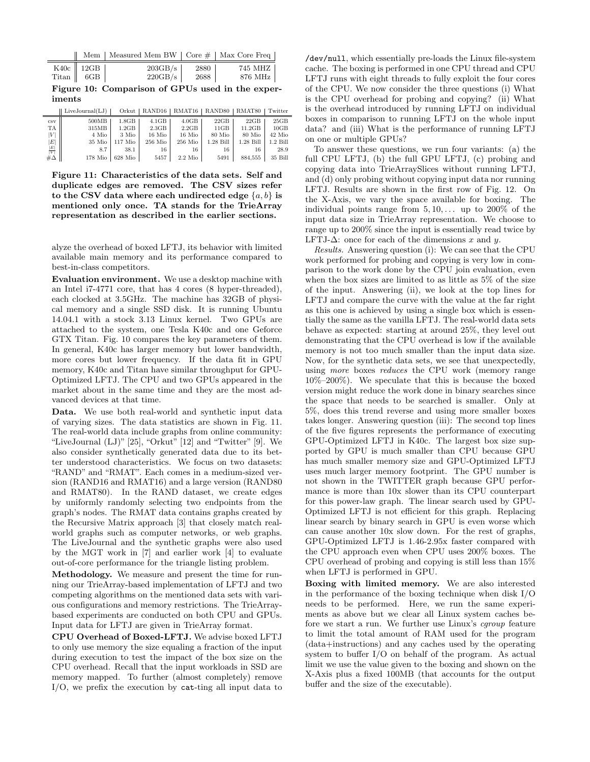|                                                    |                                                                                           | Mem   Measured Mem BW   Core $\#$   Max Core Freq |                |                    |  |  |  |
|----------------------------------------------------|-------------------------------------------------------------------------------------------|---------------------------------------------------|----------------|--------------------|--|--|--|
|                                                    | $\begin{array}{c c c} \text{K40c} & 12\text{GB} \\ \text{Titan} & 6\text{GB} \end{array}$ | 203GB/s<br>220GB/s                                | 2880  <br>2688 | 745 MHZ<br>876 MHz |  |  |  |
| Figure $10i$ Comparison of CPHs used in the exper- |                                                                                           |                                                   |                |                    |  |  |  |

 $i$ gure 10: Comparison of GPUs used in iments

|                   | LiveJournal(LJ) |                |           | Orkut   RAND16   RMAT16   RAND80   RMAT80 |             |             | Twitter    |
|-------------------|-----------------|----------------|-----------|-------------------------------------------|-------------|-------------|------------|
| <b>CSV</b>        | 500MB           | $1.8\text{GB}$ | 4.1GB     | 4.0GB                                     | 22GB        | 22GB        | 25GB       |
| TA                | 315MB           | 1.2GB          | 2.3GB     | 2.2GB                                     | 11GB        | 11.2GB      | 10GB       |
| $\left V\right $  | 4 Mio           | 3 Mio          | 16 Mio    | 16 Mio                                    | 80 Mio      | 80 Mio      | 42 Mio     |
| E                 | 35 Mio          | 117 Mio        | $256$ Mio | $256$ Mio                                 | $1.28$ Bill | $1.28$ Bill | $1.2$ Bill |
| $\frac{ E }{ V }$ | 8.7             | 38.1           | 16        | 16                                        | 16          | 16          | 28.9       |
| # $\Delta$        | $178$ Mio       | $628$ Mio      | 5457      | $2.2$ Mio                                 | 5491        | 884,555     | 35 Bill    |

Figure 11: Characteristics of the data sets. Self and duplicate edges are removed. The CSV sizes refer to the CSV data where each undirected edge  $\{a, b\}$  is mentioned only once. TA stands for the TrieArray representation as described in the earlier sections.

alyze the overhead of boxed LFTJ, its behavior with limited available main memory and its performance compared to best-in-class competitors.

Evaluation environment. We use a desktop machine with an Intel i7-4771 core, that has 4 cores (8 hyper-threaded), each clocked at 3.5GHz. The machine has 32GB of physical memory and a single SSD disk. It is running Ubuntu 14.04.1 with a stock 3.13 Linux kernel. Two GPUs are attached to the system, one Tesla K40c and one Geforce GTX Titan. Fig. 10 compares the key parameters of them. In general, K40c has larger memory but lower bandwidth, more cores but lower frequency. If the data fit in GPU memory, K40c and Titan have similar throughput for GPU-Optimized LFTJ. The CPU and two GPUs appeared in the market about in the same time and they are the most advanced devices at that time.

Data. We use both real-world and synthetic input data of varying sizes. The data statistics are shown in Fig. 11. The real-world data include graphs from online community: "LiveJournal (LJ)" [25], "Orkut" [12] and "Twitter" [9]. We also consider synthetically generated data due to its better understood characteristics. We focus on two datasets: "RAND" and "RMAT". Each comes in a medium-sized version (RAND16 and RMAT16) and a large version (RAND80 and RMAT80). In the RAND dataset, we create edges by uniformly randomly selecting two endpoints from the graph's nodes. The RMAT data contains graphs created by the Recursive Matrix approach [3] that closely match realworld graphs such as computer networks, or web graphs. The LiveJournal and the synthetic graphs were also used by the MGT work in [7] and earlier work [4] to evaluate out-of-core performance for the triangle listing problem.

Methodology. We measure and present the time for running our TrieArray-based implementation of LFTJ and two competing algorithms on the mentioned data sets with various configurations and memory restrictions. The TrieArraybased experiments are conducted on both CPU and GPUs. Input data for LFTJ are given in TrieArray format.

CPU Overhead of Boxed-LFTJ. We advise boxed LFTJ to only use memory the size equaling a fraction of the input during execution to test the impact of the box size on the CPU overhead. Recall that the input workloads in SSD are memory mapped. To further (almost completely) remove I/O, we prefix the execution by cat-ting all input data to

/dev/null, which essentially pre-loads the Linux file-system cache. The boxing is performed in one CPU thread and CPU LFTJ runs with eight threads to fully exploit the four cores of the CPU. We now consider the three questions (i) What is the CPU overhead for probing and copying? (ii) What is the overhead introduced by running LFTJ on individual boxes in comparison to running LFTJ on the whole input data? and (iii) What is the performance of running LFTJ on one or multiple GPUs?

To answer these questions, we run four variants: (a) the full CPU LFTJ, (b) the full GPU LFTJ, (c) probing and copying data into TrieArraySlices without running LFTJ, and (d) only probing without copying input data nor running LFTJ. Results are shown in the first row of Fig. 12. On the X-Axis, we vary the space available for boxing. The individual points range from  $5, 10, \ldots$  up to  $200\%$  of the input data size in TrieArray representation. We choose to range up to 200% since the input is essentially read twice by LFTJ- $\Delta$ : once for each of the dimensions x and y.

Results. Answering question (i): We can see that the CPU work performed for probing and copying is very low in comparison to the work done by the CPU join evaluation, even when the box sizes are limited to as little as 5% of the size of the input. Answering (ii), we look at the top lines for LFTJ and compare the curve with the value at the far right as this one is achieved by using a single box which is essentially the same as the vanilla LFTJ. The real-world data sets behave as expected: starting at around 25%, they level out demonstrating that the CPU overhead is low if the available memory is not too much smaller than the input data size. Now, for the synthetic data sets, we see that unexpectedly, using more boxes reduces the CPU work (memory range 10%–200%). We speculate that this is because the boxed version might reduce the work done in binary searches since the space that needs to be searched is smaller. Only at 5%, does this trend reverse and using more smaller boxes takes longer. Answering question (iii): The second top lines of the five figures represents the performance of executing GPU-Optimized LFTJ in K40c. The largest box size supported by GPU is much smaller than CPU because GPU has much smaller memory size and GPU-Optimized LFTJ uses much larger memory footprint. The GPU number is not shown in the TWITTER graph because GPU performance is more than 10x slower than its CPU counterpart for this power-law graph. The linear search used by GPU-Optimized LFTJ is not efficient for this graph. Replacing linear search by binary search in GPU is even worse which can cause another 10x slow down. For the rest of graphs, GPU-Optimized LFTJ is 1.46-2.95x faster compared with the CPU approach even when CPU uses 200% boxes. The CPU overhead of probing and copying is still less than 15% when LFTJ is performed in GPU.

Boxing with limited memory. We are also interested in the performance of the boxing technique when disk I/O needs to be performed. Here, we run the same experiments as above but we clear all Linux system caches before we start a run. We further use Linux's cgroup feature to limit the total amount of RAM used for the program (data+instructions) and any caches used by the operating system to buffer I/O on behalf of the program. As actual limit we use the value given to the boxing and shown on the X-Axis plus a fixed 100MB (that accounts for the output buffer and the size of the executable).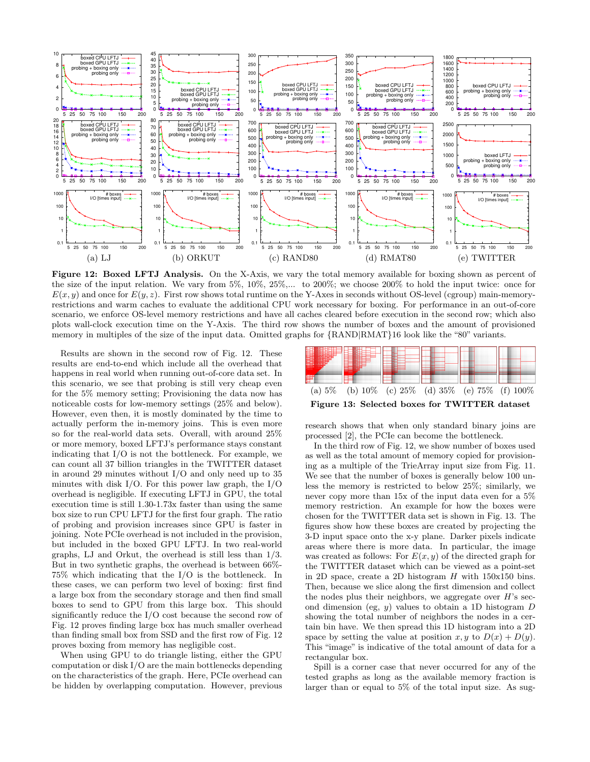

Figure 12: Boxed LFTJ Analysis. On the X-Axis, we vary the total memory available for boxing shown as percent of the size of the input relation. We vary from 5%, 10%, 25%,... to 200%; we choose 200% to hold the input twice: once for  $E(x, y)$  and once for  $E(y, z)$ . First row shows total runtime on the Y-Axes in seconds without OS-level (cgroup) main-memoryrestrictions and warm caches to evaluate the additional CPU work necessary for boxing. For performance in an out-of-core scenario, we enforce OS-level memory restrictions and have all caches cleared before execution in the second row; which also plots wall-clock execution time on the Y-Axis. The third row shows the number of boxes and the amount of provisioned memory in multiples of the size of the input data. Omitted graphs for {RAND|RMAT}16 look like the "80" variants.

Results are shown in the second row of Fig. 12. These results are end-to-end which include all the overhead that happens in real world when running out-of-core data set. In this scenario, we see that probing is still very cheap even for the 5% memory setting; Provisioning the data now has noticeable costs for low-memory settings (25% and below). However, even then, it is mostly dominated by the time to actually perform the in-memory joins. This is even more so for the real-world data sets. Overall, with around 25% or more memory, boxed LFTJ's performance stays constant indicating that I/O is not the bottleneck. For example, we can count all 37 billion triangles in the TWITTER dataset in around 29 minutes without I/O and only need up to 35 minutes with disk I/O. For this power law graph, the  $I/O$ overhead is negligible. If executing LFTJ in GPU, the total execution time is still 1.30-1.73x faster than using the same box size to run CPU LFTJ for the first four graph. The ratio of probing and provision increases since GPU is faster in joining. Note PCIe overhead is not included in the provision, but included in the boxed GPU LFTJ. In two real-world graphs, LJ and Orkut, the overhead is still less than 1/3. But in two synthetic graphs, the overhead is between 66%- 75% which indicating that the I/O is the bottleneck. In these cases, we can perform two level of boxing: first find a large box from the secondary storage and then find small boxes to send to GPU from this large box. This should significantly reduce the I/O cost because the second row of Fig. 12 proves finding large box has much smaller overhead than finding small box from SSD and the first row of Fig. 12 proves boxing from memory has negligible cost.

When using GPU to do triangle listing, either the GPU computation or disk I/O are the main bottlenecks depending on the characteristics of the graph. Here, PCIe overhead can be hidden by overlapping computation. However, previous



Figure 13: Selected boxes for TWITTER dataset

research shows that when only standard binary joins are processed [2], the PCIe can become the bottleneck.

In the third row of Fig. 12, we show number of boxes used as well as the total amount of memory copied for provisioning as a multiple of the TrieArray input size from Fig. 11. We see that the number of boxes is generally below 100 unless the memory is restricted to below 25%; similarly, we never copy more than 15x of the input data even for a 5% memory restriction. An example for how the boxes were chosen for the TWITTER data set is shown in Fig. 13. The figures show how these boxes are created by projecting the 3-D input space onto the x-y plane. Darker pixels indicate areas where there is more data. In particular, the image was created as follows: For  $E(x, y)$  of the directed graph for the TWITTER dataset which can be viewed as a point-set in 2D space, create a 2D histogram  $H$  with 150x150 bins. Then, because we slice along the first dimension and collect the nodes plus their neighbors, we aggregate over  $H$ 's second dimension (eg,  $y$ ) values to obtain a 1D histogram D showing the total number of neighbors the nodes in a certain bin have. We then spread this 1D histogram into a 2D space by setting the value at position  $x, y$  to  $D(x) + D(y)$ . This "image" is indicative of the total amount of data for a rectangular box.

Spill is a corner case that never occurred for any of the tested graphs as long as the available memory fraction is larger than or equal to 5% of the total input size. As sug-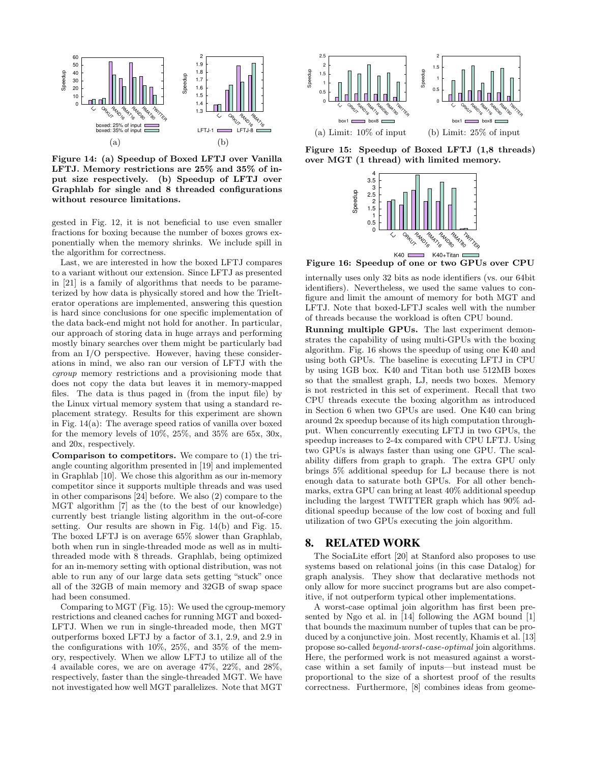

Figure 14: (a) Speedup of Boxed LFTJ over Vanilla LFTJ. Memory restrictions are 25% and 35% of input size respectively. (b) Speedup of LFTJ over Graphlab for single and 8 threaded configurations without resource limitations.

gested in Fig. 12, it is not beneficial to use even smaller fractions for boxing because the number of boxes grows exponentially when the memory shrinks. We include spill in the algorithm for correctness.

Last, we are interested in how the boxed LFTJ compares to a variant without our extension. Since LFTJ as presented in [21] is a family of algorithms that needs to be parameterized by how data is physically stored and how the TrieIterator operations are implemented, answering this question is hard since conclusions for one specific implementation of the data back-end might not hold for another. In particular, our approach of storing data in huge arrays and performing mostly binary searches over them might be particularly bad from an I/O perspective. However, having these considerations in mind, we also ran our version of LFTJ with the cgroup memory restrictions and a provisioning mode that does not copy the data but leaves it in memory-mapped files. The data is thus paged in (from the input file) by the Linux virtual memory system that using a standard replacement strategy. Results for this experiment are shown in Fig. 14(a): The average speed ratios of vanilla over boxed for the memory levels of 10%, 25%, and 35% are 65x, 30x, and 20x, respectively.

Comparison to competitors. We compare to (1) the triangle counting algorithm presented in [19] and implemented in Graphlab [10]. We chose this algorithm as our in-memory competitor since it supports multiple threads and was used in other comparisons [24] before. We also (2) compare to the MGT algorithm [7] as the (to the best of our knowledge) currently best triangle listing algorithm in the out-of-core setting. Our results are shown in Fig. 14(b) and Fig. 15. The boxed LFTJ is on average 65% slower than Graphlab, both when run in single-threaded mode as well as in multithreaded mode with 8 threads. Graphlab, being optimized for an in-memory setting with optional distribution, was not able to run any of our large data sets getting "stuck" once all of the 32GB of main memory and 32GB of swap space had been consumed.

Comparing to MGT (Fig. 15): We used the cgroup-memory restrictions and cleaned caches for running MGT and boxed-LFTJ. When we run in single-threaded mode, then MGT outperforms boxed LFTJ by a factor of 3.1, 2.9, and 2.9 in the configurations with 10%, 25%, and 35% of the memory, respectively. When we allow LFTJ to utilize all of the 4 available cores, we are on average 47%, 22%, and 28%, respectively, faster than the single-threaded MGT. We have not investigated how well MGT parallelizes. Note that MGT



Figure 15: Speedup of Boxed LFTJ (1,8 threads) over MGT (1 thread) with limited memory.



Figure 16: Speedup of one or two GPUs over CPU

internally uses only 32 bits as node identifiers (vs. our 64bit identifiers). Nevertheless, we used the same values to configure and limit the amount of memory for both MGT and LFTJ. Note that boxed-LFTJ scales well with the number of threads because the workload is often CPU bound.

Running multiple GPUs. The last experiment demonstrates the capability of using multi-GPUs with the boxing algorithm. Fig. 16 shows the speedup of using one K40 and using both GPUs. The baseline is executing LFTJ in CPU by using 1GB box. K40 and Titan both use 512MB boxes so that the smallest graph, LJ, needs two boxes. Memory is not restricted in this set of experiment. Recall that two CPU threads execute the boxing algorithm as introduced in Section 6 when two GPUs are used. One K40 can bring around 2x speedup because of its high computation throughput. When concurrently executing LFTJ in two GPUs, the speedup increases to 2-4x compared with CPU LFTJ. Using two GPUs is always faster than using one GPU. The scalability differs from graph to graph. The extra GPU only brings 5% additional speedup for LJ because there is not enough data to saturate both GPUs. For all other benchmarks, extra GPU can bring at least 40% additional speedup including the largest TWITTER graph which has 90% additional speedup because of the low cost of boxing and full utilization of two GPUs executing the join algorithm.

#### 8. RELATED WORK

The SociaLite effort [20] at Stanford also proposes to use systems based on relational joins (in this case Datalog) for graph analysis. They show that declarative methods not only allow for more succinct programs but are also competitive, if not outperform typical other implementations.

A worst-case optimal join algorithm has first been presented by Ngo et al. in [14] following the AGM bound [1] that bounds the maximum number of tuples that can be produced by a conjunctive join. Most recently, Khamis et al. [13] propose so-called beyond-worst-case-optimal join algorithms. Here, the performed work is not measured against a worstcase within a set family of inputs—but instead must be proportional to the size of a shortest proof of the results correctness. Furthermore, [8] combines ideas from geome